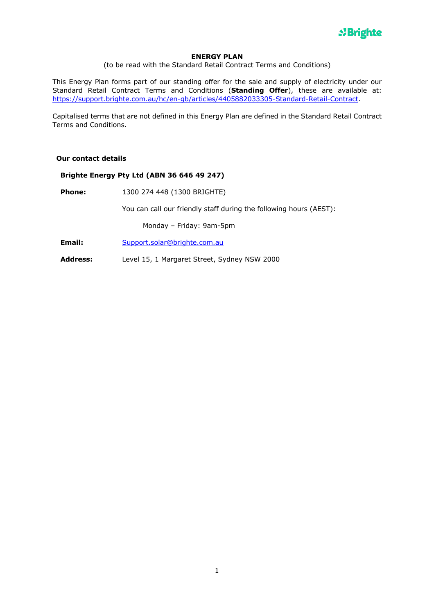

## **ENERGY PLAN**

(to be read with the Standard Retail Contract Terms and Conditions)

This Energy Plan forms part of our standing offer for the sale and supply of electricity under our Standard Retail Contract Terms and Conditions (**Standing Offer**), these are available at: https://support.brighte.com.au/hc/en-gb/articles/4405882033305-Standard-Retail-Contract.

Capitalised terms that are not defined in this Energy Plan are defined in the Standard Retail Contract Terms and Conditions.

## **Our contact details**

## **Brighte Energy Pty Ltd (ABN 36 646 49 247)**

**Phone:** 1300 274 448 (1300 BRIGHTE)

You can call our friendly staff during the following hours (AEST):

Monday – Friday: 9am-5pm

- **Email:** Support.solar@brighte.com.au
- **Address:** Level 15, 1 Margaret Street, Sydney NSW 2000